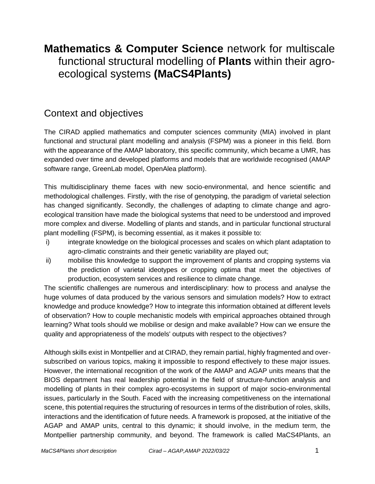# **Mathematics & Computer Science** network for multiscale functional structural modelling of **Plants** within their agroecological systems **(MaCS4Plants)**

## Context and objectives

The CIRAD applied mathematics and computer sciences community (MIA) involved in plant functional and structural plant modelling and analysis (FSPM) was a pioneer in this field. Born with the appearance of the AMAP laboratory, this specific community, which became a UMR, has expanded over time and developed platforms and models that are worldwide recognised (AMAP software range, GreenLab model, OpenAlea platform).

This multidisciplinary theme faces with new socio-environmental, and hence scientific and methodological challenges. Firstly, with the rise of genotyping, the paradigm of varietal selection has changed significantly. Secondly, the challenges of adapting to climate change and agroecological transition have made the biological systems that need to be understood and improved more complex and diverse. Modelling of plants and stands, and in particular functional structural plant modelling (FSPM), is becoming essential, as it makes it possible to:

- i) integrate knowledge on the biological processes and scales on which plant adaptation to agro-climatic constraints and their genetic variability are played out;
- ii) mobilise this knowledge to support the improvement of plants and cropping systems via the prediction of varietal ideotypes or cropping optima that meet the objectives of production, ecosystem services and resilience to climate change.

The scientific challenges are numerous and interdisciplinary: how to process and analyse the huge volumes of data produced by the various sensors and simulation models? How to extract knowledge and produce knowledge? How to integrate this information obtained at different levels of observation? How to couple mechanistic models with empirical approaches obtained through learning? What tools should we mobilise or design and make available? How can we ensure the quality and appropriateness of the models' outputs with respect to the objectives?

Although skills exist in Montpellier and at CIRAD, they remain partial, highly fragmented and oversubscribed on various topics, making it impossible to respond effectively to these major issues. However, the international recognition of the work of the AMAP and AGAP units means that the BIOS department has real leadership potential in the field of structure-function analysis and modelling of plants in their complex agro-ecosystems in support of major socio-environmental issues, particularly in the South. Faced with the increasing competitiveness on the international scene, this potential requires the structuring of resources in terms of the distribution of roles, skills, interactions and the identification of future needs. A framework is proposed, at the initiative of the AGAP and AMAP units, central to this dynamic; it should involve, in the medium term, the Montpellier partnership community, and beyond. The framework is called MaCS4Plants, an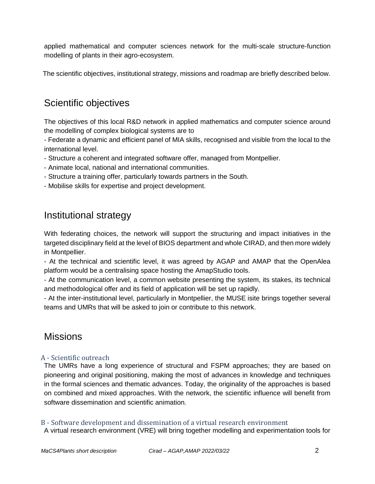applied mathematical and computer sciences network for the multi-scale structure-function modelling of plants in their agro-ecosystem.

The scientific objectives, institutional strategy, missions and roadmap are briefly described below.

### Scientific objectives

The objectives of this local R&D network in applied mathematics and computer science around the modelling of complex biological systems are to

- Federate a dynamic and efficient panel of MIA skills, recognised and visible from the local to the international level.

- Structure a coherent and integrated software offer, managed from Montpellier.
- Animate local, national and international communities.
- Structure a training offer, particularly towards partners in the South.
- Mobilise skills for expertise and project development.

### Institutional strategy

With federating choices, the network will support the structuring and impact initiatives in the targeted disciplinary field at the level of BIOS department and whole CIRAD, and then more widely in Montpellier.

- At the technical and scientific level, it was agreed by AGAP and AMAP that the OpenAlea platform would be a centralising space hosting the AmapStudio tools.

- At the communication level, a common website presenting the system, its stakes, its technical and methodological offer and its field of application will be set up rapidly.

- At the inter-institutional level, particularly in Montpellier, the MUSE isite brings together several teams and UMRs that will be asked to join or contribute to this network.

### Missions

### A - Scientific outreach

The UMRs have a long experience of structural and FSPM approaches; they are based on pioneering and original positioning, making the most of advances in knowledge and techniques in the formal sciences and thematic advances. Today, the originality of the approaches is based on combined and mixed approaches. With the network, the scientific influence will benefit from software dissemination and scientific animation.

B - Software development and dissemination of a virtual research environment

A virtual research environment (VRE) will bring together modelling and experimentation tools for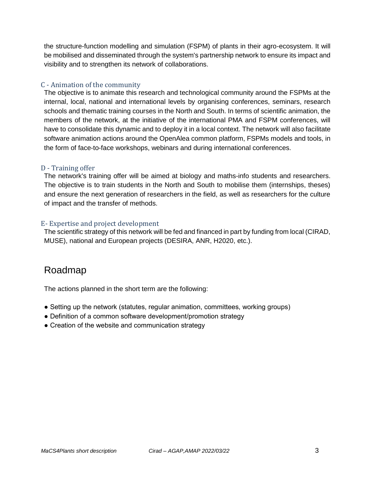the structure-function modelling and simulation (FSPM) of plants in their agro-ecosystem. It will be mobilised and disseminated through the system's partnership network to ensure its impact and visibility and to strengthen its network of collaborations.

### C - Animation of the community

The objective is to animate this research and technological community around the FSPMs at the internal, local, national and international levels by organising conferences, seminars, research schools and thematic training courses in the North and South. In terms of scientific animation, the members of the network, at the initiative of the international PMA and FSPM conferences, will have to consolidate this dynamic and to deploy it in a local context. The network will also facilitate software animation actions around the OpenAlea common platform, FSPMs models and tools, in the form of face-to-face workshops, webinars and during international conferences.

### D - Training offer

The network's training offer will be aimed at biology and maths-info students and researchers. The objective is to train students in the North and South to mobilise them (internships, theses) and ensure the next generation of researchers in the field, as well as researchers for the culture of impact and the transfer of methods.

### E- Expertise and project development

The scientific strategy of this network will be fed and financed in part by funding from local (CIRAD, MUSE), national and European projects (DESIRA, ANR, H2020, etc.).

### Roadmap

The actions planned in the short term are the following:

- Setting up the network (statutes, regular animation, committees, working groups)
- Definition of a common software development/promotion strategy
- Creation of the website and communication strategy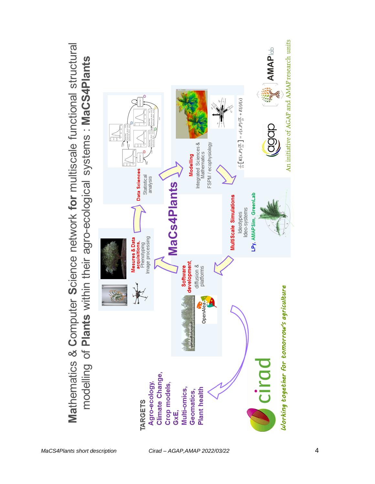

*MaCS4Plants short description Cirad – AGAP,AMAP 2022/03/22* 4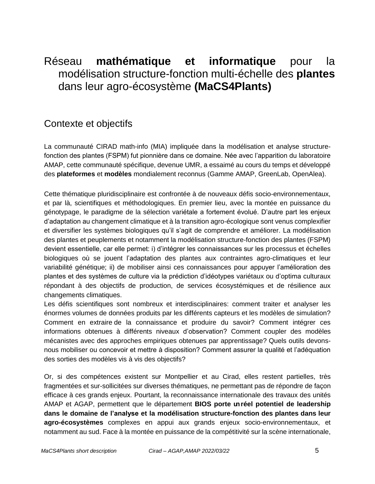# Réseau **mathématique et informatique** pour la modélisation structure-fonction multi-échelle des **plantes**  dans leur agro-écosystème **(MaCS4Plants)**

## Contexte et objectifs

La communauté CIRAD math-info (MIA) impliquée dans la modélisation et analyse structurefonction des plantes (FSPM) fut pionnière dans ce domaine. Née avec l'apparition du laboratoire AMAP, cette communauté spécifique, devenue UMR, a essaimé au cours du temps et développé des **plateformes** et **modèles** mondialement reconnus (Gamme AMAP, GreenLab, OpenAlea).

Cette thématique pluridisciplinaire est confrontée à de nouveaux défis socio-environnementaux, et par là, scientifiques et méthodologiques. En premier lieu, avec la montée en puissance du génotypage, le paradigme de la sélection variétale a fortement évolué. D'autre part les enjeux d'adaptation au changement climatique et à la transition agro-écologique sont venus complexifier et diversifier les systèmes biologiques qu'il s'agit de comprendre et améliorer. La modélisation des plantes et peuplements et notamment la modélisation structure-fonction des plantes (FSPM) devient essentielle, car elle permet: i) d'intégrer les connaissances sur les processus et échelles biologiques où se jouent l'adaptation des plantes aux contraintes agro-climatiques et leur variabilité génétique; ii) de mobiliser ainsi ces connaissances pour appuyer l'amélioration des plantes et des systèmes de culture via la prédiction d'idéotypes variétaux ou d'optima culturaux répondant à des objectifs de production, de services écosystémiques et de résilience aux changements climatiques.

Les défis scientifiques sont nombreux et interdisciplinaires: comment traiter et analyser les énormes volumes de données produits par les différents capteurs et les modèles de simulation? Comment en extraire de la connaissance et produire du savoir? Comment intégrer ces informations obtenues à différents niveaux d'observation? Comment coupler des modèles mécanistes avec des approches empiriques obtenues par apprentissage? Quels outils devonsnous mobiliser ou concevoir et mettre à disposition? Comment assurer la qualité et l'adéquation des sorties des modèles vis à vis des objectifs?

Or, si des compétences existent sur Montpellier et au Cirad, elles restent partielles, très fragmentées et sur-sollicitées sur diverses thématiques, ne permettant pas de répondre de façon efficace à ces grands enjeux. Pourtant, la reconnaissance internationale des travaux des unités AMAP et AGAP, permettent que le département **BIOS porte unréel potentiel de leadership dans le domaine de l'analyse et la modélisation structure-fonction des plantes dans leur agro-écosystèmes** complexes en appui aux grands enjeux socio-environnementaux, et notamment au sud. Face à la montée en puissance de la compétitivité sur la scène internationale,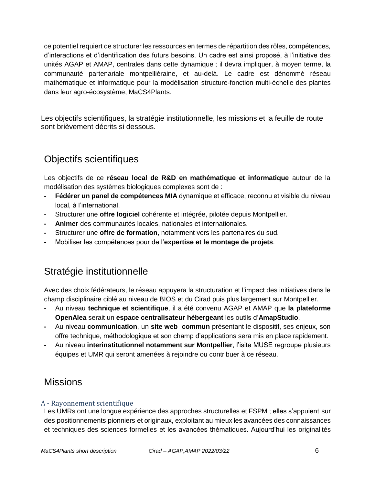ce potentiel requiert de structurer les ressources en termes de répartition des rôles, compétences, d'interactions et d'identification des futurs besoins. Un cadre est ainsi proposé, à l'initiative des unités AGAP et AMAP, centrales dans cette dynamique ; il devra impliquer, à moyen terme, la communauté partenariale montpelliéraine, et au-delà. Le cadre est dénommé réseau mathématique et informatique pour la modélisation structure-fonction multi-échelle des plantes dans leur agro-écosystème, MaCS4Plants.

Les objectifs scientifiques, la stratégie institutionnelle, les missions et la feuille de route sont brièvement décrits si dessous.

## Objectifs scientifiques

Les objectifs de ce **réseau local de R&D en mathématique et informatique** autour de la modélisation des systèmes biologiques complexes sont de :

- **- Fédérer un panel de compétences MIA** dynamique et efficace, reconnu et visible du niveau local, à l'international.
- **-** Structurer une **offre logiciel** cohérente et intégrée, pilotée depuis Montpellier.
- **- Animer** des communautés locales, nationales et internationales.
- **-** Structurer une **offre de formation**, notamment vers les partenaires du sud.
- **-** Mobiliser les compétences pour de l'**expertise et le montage de projets**.

## Stratégie institutionnelle

Avec des choix fédérateurs, le réseau appuyera la structuration et l'impact des initiatives dans le champ disciplinaire ciblé au niveau de BIOS et du Cirad puis plus largement sur Montpellier.

- **-** Au niveau **technique et scientifique**, il a été convenu AGAP et AMAP que **la plateforme OpenAlea** serait un **espace centralisateur hébergeant** les outils d'**AmapStudio**.
- **-** Au niveau **communication**, un **site web commun** présentant le dispositif, ses enjeux, son offre technique, méthodologique et son champ d'applications sera mis en place rapidement.
- **-** Au niveau **interinstitutionnel notamment sur Montpellier**, l'isite MUSE regroupe plusieurs équipes et UMR qui seront amenées à rejoindre ou contribuer à ce réseau.

## **Missions**

### A - Rayonnement scientifique

Les UMRs ont une longue expérience des approches structurelles et FSPM ; elles s'appuient sur des positionnements pionniers et originaux, exploitant au mieux les avancées des connaissances et techniques des sciences formelles et les avancées thématiques. Aujourd'hui les originalités